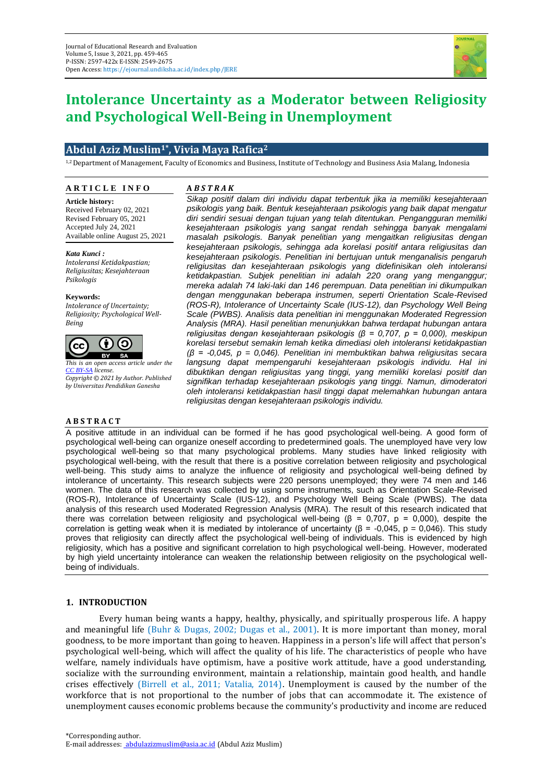

# **Intolerance Uncertainty as a Moderator between Religiosity and Psychological Well-Being in Unemployment**

## **Abdul Aziz Muslim1\* , Vivia Maya Rafica<sup>2</sup>**

1,2 Department of Management, Faculty of Economics and Business, Institute of Technology and Business Asia Malang, Indonesia

#### **A R T I C L E I N F O**

**A** *B S T R A K*

**Article history:** Received February 02, 2021 Revised February 05, 2021 Accepted July 24, 2021 Available online August 25, 2021

*Kata Kunci : Intoleransi Ketidakpastian; Religiusitas; Kesejahteraan Psikologis*

**Keywords:** *Intolerance of Uncertainty;* 

*Religiosity; Psychological Well-Being*



*[CC BY-SA](https://creativecommons.org/licenses/by-sa/4.0/) license. Copyright © 2021 by Author. Published by Universitas Pendidikan Ganesha*

#### **A B S T R A C T**

*Sikap positif dalam diri individu dapat terbentuk jika ia memiliki kesejahteraan psikologis yang baik. Bentuk kesejahteraan psikologis yang baik dapat mengatur diri sendiri sesuai dengan tujuan yang telah ditentukan. Pengangguran memiliki kesejahteraan psikologis yang sangat rendah sehingga banyak mengalami masalah psikologis. Banyak penelitian yang mengaitkan religiusitas dengan kesejahteraan psikologis, sehingga ada korelasi positif antara religiusitas dan kesejahteraan psikologis. Penelitian ini bertujuan untuk menganalisis pengaruh religiusitas dan kesejahteraan psikologis yang didefinisikan oleh intoleransi ketidakpastian. Subjek penelitian ini adalah 220 orang yang menganggur; mereka adalah 74 laki-laki dan 146 perempuan. Data penelitian ini dikumpulkan dengan menggunakan beberapa instrumen, seperti Orientation Scale-Revised (ROS-R), Intolerance of Uncertainty Scale (IUS-12), dan Psychology Well Being Scale (PWBS). Analisis data penelitian ini menggunakan Moderated Regression Analysis (MRA). Hasil penelitian menunjukkan bahwa terdapat hubungan antara religiusitas dengan kesejahteraan psikologis (β = 0,707, p = 0,000), meskipun korelasi tersebut semakin lemah ketika dimediasi oleh intoleransi ketidakpastian (β = -0,045, p = 0,046). Penelitian ini membuktikan bahwa religiusitas secara langsung dapat mempengaruhi kesejahteraan psikologis individu. Hal ini dibuktikan dengan religiusitas yang tinggi, yang memiliki korelasi positif dan signifikan terhadap kesejahteraan psikologis yang tinggi. Namun, dimoderatori oleh intoleransi ketidakpastian hasil tinggi dapat melemahkan hubungan antara religiusitas dengan kesejahteraan psikologis individu.*

A positive attitude in an individual can be formed if he has good psychological well-being. A good form of psychological well-being can organize oneself according to predetermined goals. The unemployed have very low psychological well-being so that many psychological problems. Many studies have linked religiosity with psychological well-being, with the result that there is a positive correlation between religiosity and psychological well-being. This study aims to analyze the influence of religiosity and psychological well-being defined by intolerance of uncertainty. This research subjects were 220 persons unemployed; they were 74 men and 146 women. The data of this research was collected by using some instruments, such as Orientation Scale-Revised (ROS-R), Intolerance of Uncertainty Scale (IUS-12), and Psychology Well Being Scale (PWBS). The data analysis of this research used Moderated Regression Analysis (MRA). The result of this research indicated that there was correlation between religiosity and psychological well-being ( $\beta = 0.707$ ,  $p = 0.000$ ), despite the correlation is getting weak when it is mediated by intolerance of uncertainty (β = -0,045, p = 0,046). This study proves that religiosity can directly affect the psychological well-being of individuals. This is evidenced by high religiosity, which has a positive and significant correlation to high psychological well-being. However, moderated by high yield uncertainty intolerance can weaken the relationship between religiosity on the psychological wellbeing of individuals.

## **1. INTRODUCTION**

Every human being wants a happy, healthy, physically, and spiritually prosperous life. A happy and meaningful life (Buhr & Dugas, 2002; Dugas et al., 2001). It is more important than money, moral goodness, to be more important than going to heaven. Happiness in a person's life will affect that person's psychological well-being, which will affect the quality of his life. The characteristics of people who have welfare, namely individuals have optimism, have a positive work attitude, have a good understanding, socialize with the surrounding environment, maintain a relationship, maintain good health, and handle crises effectively (Birrell et al., 2011; Vatalia, 2014). Unemployment is caused by the number of the workforce that is not proportional to the number of jobs that can accommodate it. The existence of unemployment causes economic problems because the community's productivity and income are reduced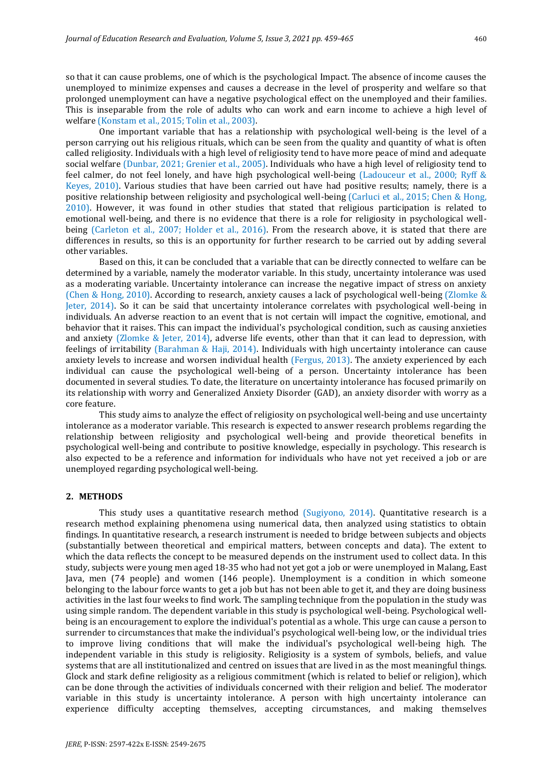so that it can cause problems, one of which is the psychological Impact. The absence of income causes the unemployed to minimize expenses and causes a decrease in the level of prosperity and welfare so that prolonged unemployment can have a negative psychological effect on the unemployed and their families. This is inseparable from the role of adults who can work and earn income to achieve a high level of welfare (Konstam et al., 2015; Tolin et al., 2003).

One important variable that has a relationship with psychological well-being is the level of a person carrying out his religious rituals, which can be seen from the quality and quantity of what is often called religiosity. Individuals with a high level of religiosity tend to have more peace of mind and adequate social welfare (Dunbar, 2021; Grenier et al., 2005). Individuals who have a high level of religiosity tend to feel calmer, do not feel lonely, and have high psychological well-being (Ladouceur et al., 2000; Ryff & Keyes, 2010). Various studies that have been carried out have had positive results; namely, there is a positive relationship between religiosity and psychological well-being (Carluci et al., 2015; Chen & Hong, 2010). However, it was found in other studies that stated that religious participation is related to emotional well-being, and there is no evidence that there is a role for religiosity in psychological wellbeing (Carleton et al., 2007; Holder et al., 2016). From the research above, it is stated that there are differences in results, so this is an opportunity for further research to be carried out by adding several other variables.

Based on this, it can be concluded that a variable that can be directly connected to welfare can be determined by a variable, namely the moderator variable. In this study, uncertainty intolerance was used as a moderating variable. Uncertainty intolerance can increase the negative impact of stress on anxiety (Chen & Hong, 2010). According to research, anxiety causes a lack of psychological well-being (Zlomke & Jeter, 2014). So it can be said that uncertainty intolerance correlates with psychological well-being in individuals. An adverse reaction to an event that is not certain will impact the cognitive, emotional, and behavior that it raises. This can impact the individual's psychological condition, such as causing anxieties and anxiety (Zlomke & Jeter, 2014), adverse life events, other than that it can lead to depression, with feelings of irritability (Barahman & Haji, 2014). Individuals with high uncertainty intolerance can cause anxiety levels to increase and worsen individual health (Fergus, 2013). The anxiety experienced by each individual can cause the psychological well-being of a person. Uncertainty intolerance has been documented in several studies. To date, the literature on uncertainty intolerance has focused primarily on its relationship with worry and Generalized Anxiety Disorder (GAD), an anxiety disorder with worry as a core feature.

This study aims to analyze the effect of religiosity on psychological well-being and use uncertainty intolerance as a moderator variable. This research is expected to answer research problems regarding the relationship between religiosity and psychological well-being and provide theoretical benefits in psychological well-being and contribute to positive knowledge, especially in psychology. This research is also expected to be a reference and information for individuals who have not yet received a job or are unemployed regarding psychological well-being.

#### **2. METHODS**

This study uses a quantitative research method (Sugiyono, 2014). Quantitative research is a research method explaining phenomena using numerical data, then analyzed using statistics to obtain findings. In quantitative research, a research instrument is needed to bridge between subjects and objects (substantially between theoretical and empirical matters, between concepts and data). The extent to which the data reflects the concept to be measured depends on the instrument used to collect data. In this study, subjects were young men aged 18-35 who had not yet got a job or were unemployed in Malang, East Java, men (74 people) and women (146 people). Unemployment is a condition in which someone belonging to the labour force wants to get a job but has not been able to get it, and they are doing business activities in the last four weeks to find work. The sampling technique from the population in the study was using simple random. The dependent variable in this study is psychological well-being. Psychological wellbeing is an encouragement to explore the individual's potential as a whole. This urge can cause a person to surrender to circumstances that make the individual's psychological well-being low, or the individual tries to improve living conditions that will make the individual's psychological well-being high. The independent variable in this study is religiosity. Religiosity is a system of symbols, beliefs, and value systems that are all institutionalized and centred on issues that are lived in as the most meaningful things. Glock and stark define religiosity as a religious commitment (which is related to belief or religion), which can be done through the activities of individuals concerned with their religion and belief. The moderator variable in this study is uncertainty intolerance. A person with high uncertainty intolerance can experience difficulty accepting themselves, accepting circumstances, and making themselves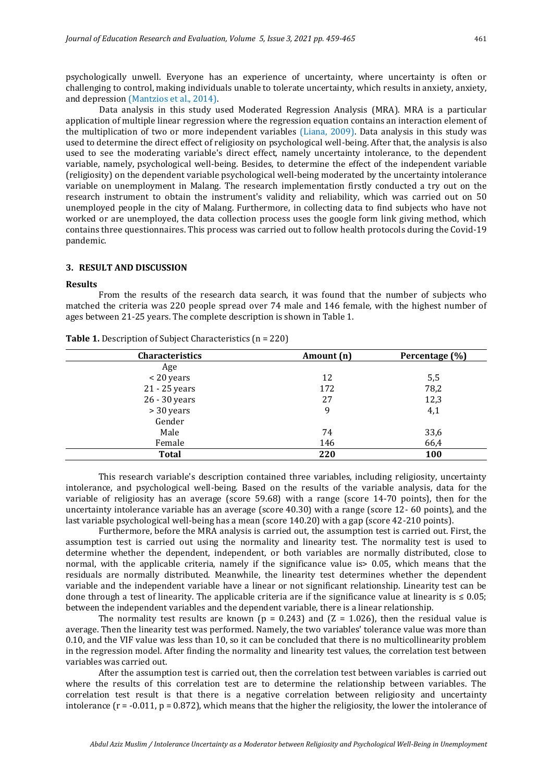psychologically unwell. Everyone has an experience of uncertainty, where uncertainty is often or challenging to control, making individuals unable to tolerate uncertainty, which results in anxiety, anxiety, and depression (Mantzios et al., 2014).

Data analysis in this study used Moderated Regression Analysis (MRA). MRA is a particular application of multiple linear regression where the regression equation contains an interaction element of the multiplication of two or more independent variables (Liana, 2009). Data analysis in this study was used to determine the direct effect of religiosity on psychological well-being. After that, the analysis is also used to see the moderating variable's direct effect, namely uncertainty intolerance, to the dependent variable, namely, psychological well-being. Besides, to determine the effect of the independent variable (religiosity) on the dependent variable psychological well-being moderated by the uncertainty intolerance variable on unemployment in Malang. The research implementation firstly conducted a try out on the research instrument to obtain the instrument's validity and reliability, which was carried out on 50 unemployed people in the city of Malang. Furthermore, in collecting data to find subjects who have not worked or are unemployed, the data collection process uses the google form link giving method, which contains three questionnaires. This process was carried out to follow health protocols during the Covid-19 pandemic.

#### **3. RESULT AND DISCUSSION**

#### **Results**

From the results of the research data search, it was found that the number of subjects who matched the criteria was 220 people spread over 74 male and 146 female, with the highest number of ages between 21-25 years. The complete description is shown in Table 1.

| Characteristics | Amount (n) | Percentage (%) |  |
|-----------------|------------|----------------|--|
| Age             |            |                |  |
| < 20 years      | 12         | 5,5            |  |
| 21 - 25 years   | 172        | 78,2           |  |
| 26 - 30 years   | 27         | 12,3           |  |
| > 30 years      | 9          | 4,1            |  |
| Gender          |            |                |  |
| Male            | 74         | 33,6           |  |
| Female          | 146        | 66,4           |  |
| <b>Total</b>    | 220        | <b>100</b>     |  |

**Table 1.** Description of Subject Characteristics (n = 220)

This research variable's description contained three variables, including religiosity, uncertainty intolerance, and psychological well-being. Based on the results of the variable analysis, data for the variable of religiosity has an average (score 59.68) with a range (score 14-70 points), then for the uncertainty intolerance variable has an average (score 40.30) with a range (score 12- 60 points), and the last variable psychological well-being has a mean (score 140.20) with a gap (score 42-210 points).

Furthermore, before the MRA analysis is carried out, the assumption test is carried out. First, the assumption test is carried out using the normality and linearity test. The normality test is used to determine whether the dependent, independent, or both variables are normally distributed, close to normal, with the applicable criteria, namely if the significance value is> 0.05, which means that the residuals are normally distributed. Meanwhile, the linearity test determines whether the dependent variable and the independent variable have a linear or not significant relationship. Linearity test can be done through a test of linearity. The applicable criteria are if the significance value at linearity is  $\leq 0.05$ ; between the independent variables and the dependent variable, there is a linear relationship.

The normality test results are known (p = 0.243) and (Z = 1.026), then the residual value is average. Then the linearity test was performed. Namely, the two variables' tolerance value was more than 0.10, and the VIF value was less than 10, so it can be concluded that there is no multicollinearity problem in the regression model. After finding the normality and linearity test values, the correlation test between variables was carried out.

After the assumption test is carried out, then the correlation test between variables is carried out where the results of this correlation test are to determine the relationship between variables. The correlation test result is that there is a negative correlation between religiosity and uncertainty intolerance ( $r = -0.011$ ,  $p = 0.872$ ), which means that the higher the religiosity, the lower the intolerance of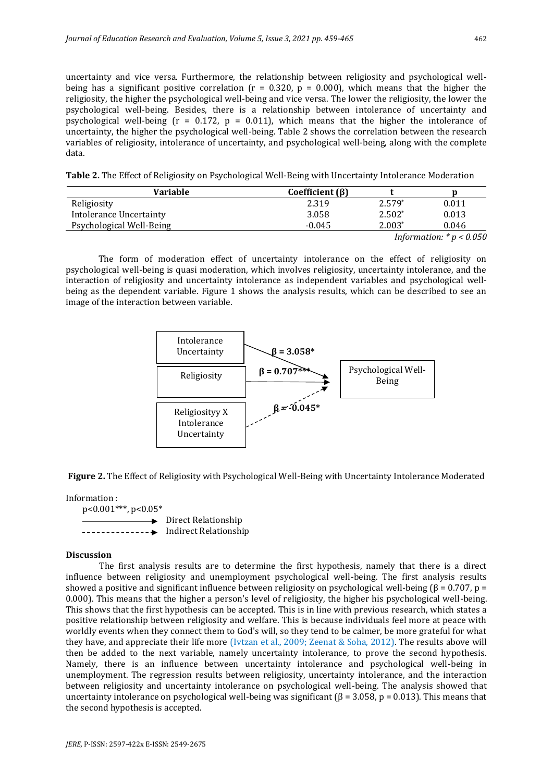uncertainty and vice versa. Furthermore, the relationship between religiosity and psychological wellbeing has a significant positive correlation ( $r = 0.320$ ,  $p = 0.000$ ), which means that the higher the religiosity, the higher the psychological well-being and vice versa. The lower the religiosity, the lower the psychological well-being. Besides, there is a relationship between intolerance of uncertainty and psychological well-being ( $r = 0.172$ ,  $p = 0.011$ ), which means that the higher the intolerance of uncertainty, the higher the psychological well-being. Table 2 shows the correlation between the research variables of religiosity, intolerance of uncertainty, and psychological well-being, along with the complete data.

**Table 2.** The Effect of Religiosity on Psychological Well-Being with Uncertainty Intolerance Moderation

| Variable                 | Coefficient $(\beta)$ |          |               |
|--------------------------|-----------------------|----------|---------------|
| Religiosity              | 2.319                 | $2.579*$ | 0.011         |
| Intolerance Uncertainty  | 3.058                 | $2.502*$ | 0.013         |
| Psychological Well-Being | $-0.045$              | $2.003*$ | 0.046         |
|                          |                       | - -      | $\sim$ $\sim$ |

*Information: \* p < 0.050*

The form of moderation effect of uncertainty intolerance on the effect of religiosity on psychological well-being is quasi moderation, which involves religiosity, uncertainty intolerance, and the interaction of religiosity and uncertainty intolerance as independent variables and psychological wellbeing as the dependent variable. Figure 1 shows the analysis results, which can be described to see an image of the interaction between variable.



**Figure 2.** The Effect of Religiosity with Psychological Well-Being with Uncertainty Intolerance Moderated

Information : p<0.001\*\*\*, p<0.05\*  $\rightarrow$  Direct Relationship -------------- Indirect Relationship

#### **Discussion**

The first analysis results are to determine the first hypothesis, namely that there is a direct influence between religiosity and unemployment psychological well-being. The first analysis results showed a positive and significant influence between religiosity on psychological well-being ( $\beta$  = 0.707, p = 0.000). This means that the higher a person's level of religiosity, the higher his psychological well-being. This shows that the first hypothesis can be accepted. This is in line with previous research, which states a positive relationship between religiosity and welfare. This is because individuals feel more at peace with worldly events when they connect them to God's will, so they tend to be calmer, be more grateful for what they have, and appreciate their life more (Ivtzan et al., 2009; Zeenat & Soha, 2012). The results above will then be added to the next variable, namely uncertainty intolerance, to prove the second hypothesis. Namely, there is an influence between uncertainty intolerance and psychological well-being in unemployment. The regression results between religiosity, uncertainty intolerance, and the interaction between religiosity and uncertainty intolerance on psychological well-being. The analysis showed that uncertainty intolerance on psychological well-being was significant ( $\beta$  = 3.058, p = 0.013). This means that the second hypothesis is accepted.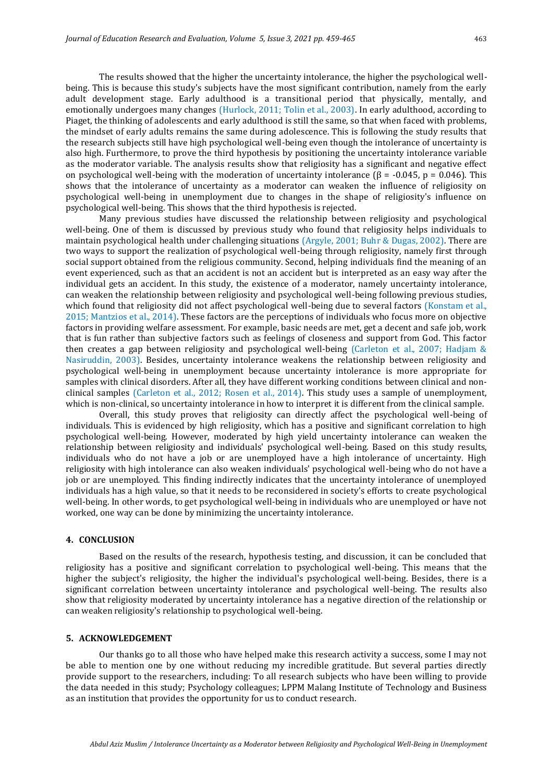The results showed that the higher the uncertainty intolerance, the higher the psychological wellbeing. This is because this study's subjects have the most significant contribution, namely from the early adult development stage. Early adulthood is a transitional period that physically, mentally, and emotionally undergoes many changes (Hurlock, 2011; Tolin et al., 2003). In early adulthood, according to Piaget, the thinking of adolescents and early adulthood is still the same, so that when faced with problems, the mindset of early adults remains the same during adolescence. This is following the study results that the research subjects still have high psychological well-being even though the intolerance of uncertainty is also high. Furthermore, to prove the third hypothesis by positioning the uncertainty intolerance variable as the moderator variable. The analysis results show that religiosity has a significant and negative effect on psychological well-being with the moderation of uncertainty intolerance  $(\beta = -0.045, p = 0.046)$ . This shows that the intolerance of uncertainty as a moderator can weaken the influence of religiosity on psychological well-being in unemployment due to changes in the shape of religiosity's influence on psychological well-being. This shows that the third hypothesis is rejected.

Many previous studies have discussed the relationship between religiosity and psychological well-being. One of them is discussed by previous study who found that religiosity helps individuals to maintain psychological health under challenging situations (Argyle, 2001; Buhr & Dugas, 2002). There are two ways to support the realization of psychological well-being through religiosity, namely first through social support obtained from the religious community. Second, helping individuals find the meaning of an event experienced, such as that an accident is not an accident but is interpreted as an easy way after the individual gets an accident. In this study, the existence of a moderator, namely uncertainty intolerance, can weaken the relationship between religiosity and psychological well-being following previous studies, which found that religiosity did not affect psychological well-being due to several factors (Konstam et al., 2015; Mantzios et al., 2014). These factors are the perceptions of individuals who focus more on objective factors in providing welfare assessment. For example, basic needs are met, get a decent and safe job, work that is fun rather than subjective factors such as feelings of closeness and support from God. This factor then creates a gap between religiosity and psychological well-being (Carleton et al., 2007; Hadjam & Nasiruddin, 2003). Besides, uncertainty intolerance weakens the relationship between religiosity and psychological well-being in unemployment because uncertainty intolerance is more appropriate for samples with clinical disorders. After all, they have different working conditions between clinical and nonclinical samples (Carleton et al., 2012; Rosen et al., 2014). This study uses a sample of unemployment, which is non-clinical, so uncertainty intolerance in how to interpret it is different from the clinical sample.

Overall, this study proves that religiosity can directly affect the psychological well-being of individuals. This is evidenced by high religiosity, which has a positive and significant correlation to high psychological well-being. However, moderated by high yield uncertainty intolerance can weaken the relationship between religiosity and individuals' psychological well-being. Based on this study results, individuals who do not have a job or are unemployed have a high intolerance of uncertainty. High religiosity with high intolerance can also weaken individuals' psychological well-being who do not have a job or are unemployed. This finding indirectly indicates that the uncertainty intolerance of unemployed individuals has a high value, so that it needs to be reconsidered in society's efforts to create psychological well-being. In other words, to get psychological well-being in individuals who are unemployed or have not worked, one way can be done by minimizing the uncertainty intolerance.

### **4. CONCLUSION**

Based on the results of the research, hypothesis testing, and discussion, it can be concluded that religiosity has a positive and significant correlation to psychological well-being. This means that the higher the subject's religiosity, the higher the individual's psychological well-being. Besides, there is a significant correlation between uncertainty intolerance and psychological well-being. The results also show that religiosity moderated by uncertainty intolerance has a negative direction of the relationship or can weaken religiosity's relationship to psychological well-being.

### **5. ACKNOWLEDGEMENT**

Our thanks go to all those who have helped make this research activity a success, some I may not be able to mention one by one without reducing my incredible gratitude. But several parties directly provide support to the researchers, including: To all research subjects who have been willing to provide the data needed in this study; Psychology colleagues; LPPM Malang Institute of Technology and Business as an institution that provides the opportunity for us to conduct research.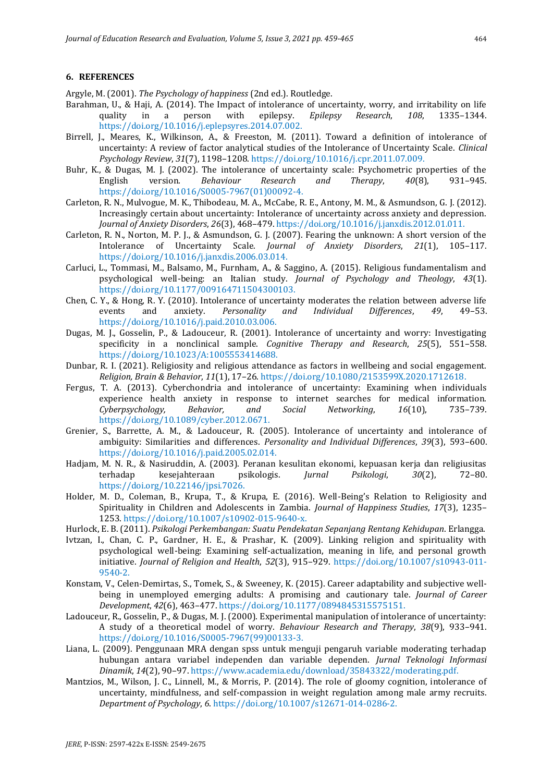#### **6. REFERENCES**

Argyle, M. (2001). *The Psychology of happiness* (2nd ed.). Routledge.

- Barahman, U., & Haji, A. (2014). The Impact of intolerance of uncertainty, worry, and irritability on life quality in a person with epilepsy. *Epilepsy Research*, *108*, 1335–1344. https://doi.org/10.1016/j.eplepsyres.2014.07.002.
- Birrell, J., Meares, K., Wilkinson, A., & Freeston, M. (2011). Toward a definition of intolerance of uncertainty: A review of factor analytical studies of the Intolerance of Uncertainty Scale. *Clinical Psychology Review*, *31*(7), 1198–1208. https://doi.org/10.1016/j.cpr.2011.07.009.
- Buhr, K., & Dugas, M. J. (2002). The intolerance of uncertainty scale: Psychometric properties of the English version. *Behaviour Research and Therapy*, *40*(8), 931–945. https://doi.org/10.1016/S0005-7967(01)00092-4.
- Carleton, R. N., Mulvogue, M. K., Thibodeau, M. A., McCabe, R. E., Antony, M. M., & Asmundson, G. J. (2012). Increasingly certain about uncertainty: Intolerance of uncertainty across anxiety and depression. *Journal of Anxiety Disorders*, *26*(3), 468–479. https://doi.org/10.1016/j.janxdis.2012.01.011.
- Carleton, R. N., Norton, M. P. J., & Asmundson, G. J. (2007). Fearing the unknown: A short version of the Intolerance of Uncertainty Scale. *Journal of Anxiety Disorders*, *21*(1), 105–117. https://doi.org/10.1016/j.janxdis.2006.03.014.
- Carluci, L., Tommasi, M., Balsamo, M., Furnham, A., & Saggino, A. (2015). Religious fundamentalism and psychological well-being: an Italian study. *Journal of Psychology and Theology*, *43*(1). https://doi.org/10.1177/009164711504300103.
- Chen, C. Y., & Hong, R. Y. (2010). Intolerance of uncertainty moderates the relation between adverse life events and anxiety. *Personality and Individual Differences*, *49*, 49–53. https://doi.org/10.1016/j.paid.2010.03.006.
- Dugas, M. J., Gosselin, P., & Ladouceur, R. (2001). Intolerance of uncertainty and worry: Investigating specificity in a nonclinical sample. *Cognitive Therapy and Research*, *25*(5), 551–558. https://doi.org/10.1023/A:1005553414688.
- Dunbar, R. I. (2021). Religiosity and religious attendance as factors in wellbeing and social engagement. *Religion, Brain & Behavior*, *11*(1), 17–26. https://doi.org/10.1080/2153599X.2020.1712618.
- Fergus, T. A. (2013). Cyberchondria and intolerance of uncertainty: Examining when individuals experience health anxiety in response to internet searches for medical information. *Cyberpsychology, Behavior, and Social Networking*, *16*(10), 735–739. https://doi.org/10.1089/cyber.2012.0671.
- Grenier, S., Barrette, A. M., & Ladouceur, R. (2005). Intolerance of uncertainty and intolerance of ambiguity: Similarities and differences. *Personality and Individual Differences*, *39*(3), 593–600. https://doi.org/10.1016/j.paid.2005.02.014.
- Hadjam, M. N. R., & Nasiruddin, A. (2003). Peranan kesulitan ekonomi, kepuasan kerja dan religiusitas terhadap kesejahteraan psikologis. *Jurnal Psikologi*, *30*(2), 72–80. https://doi.org/10.22146/jpsi.7026.
- Holder, M. D., Coleman, B., Krupa, T., & Krupa, E. (2016). Well-Being's Relation to Religiosity and Spirituality in Children and Adolescents in Zambia. *Journal of Happiness Studies*, *17*(3), 1235– 1253. https://doi.org/10.1007/s10902-015-9640-x.
- Hurlock, E. B. (2011). *Psikologi Perkembangan: Suatu Pendekatan Sepanjang Rentang Kehidupan*. Erlangga.
- Ivtzan, I., Chan, C. P., Gardner, H. E., & Prashar, K. (2009). Linking religion and spirituality with psychological well-being: Examining self-actualization, meaning in life, and personal growth initiative. *Journal of Religion and Health*, *52*(3), 915–929. https://doi.org/10.1007/s10943-011- 9540-2.
- Konstam, V., Celen-Demirtas, S., Tomek, S., & Sweeney, K. (2015). Career adaptability and subjective wellbeing in unemployed emerging adults: A promising and cautionary tale. *Journal of Career Development*, *42*(6), 463–477. https://doi.org/10.1177/0894845315575151.
- Ladouceur, R., Gosselin, P., & Dugas, M. J. (2000). Experimental manipulation of intolerance of uncertainty: A study of a theoretical model of worry. *Behaviour Research and Therapy*, *38*(9), 933–941. https://doi.org/10.1016/S0005-7967(99)00133-3.
- Liana, L. (2009). Penggunaan MRA dengan spss untuk menguji pengaruh variable moderating terhadap hubungan antara variabel independen dan variable dependen. *Jurnal Teknologi Informasi Dinamik*, *14*(2), 90–97. https://www.academia.edu/download/35843322/moderating.pdf.
- Mantzios, M., Wilson, J. C., Linnell, M., & Morris, P. (2014). The role of gloomy cognition, intolerance of uncertainty, mindfulness, and self-compassion in weight regulation among male army recruits. *Department of Psychology*, *6*. https://doi.org/10.1007/s12671-014-0286-2.